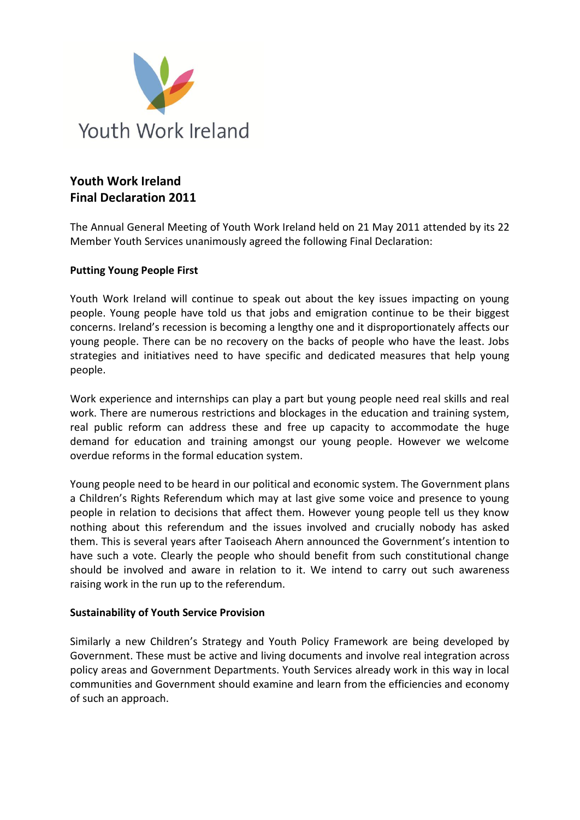

## **Youth Work Ireland Final Declaration 2011**

The Annual General Meeting of Youth Work Ireland held on 21 May 2011 attended by its 22 Member Youth Services unanimously agreed the following Final Declaration:

## **Putting Young People First**

Youth Work Ireland will continue to speak out about the key issues impacting on young people. Young people have told us that jobs and emigration continue to be their biggest concerns. Ireland's recession is becoming a lengthy one and it disproportionately affects our young people. There can be no recovery on the backs of people who have the least. Jobs strategies and initiatives need to have specific and dedicated measures that help young people.

Work experience and internships can play a part but young people need real skills and real work. There are numerous restrictions and blockages in the education and training system, real public reform can address these and free up capacity to accommodate the huge demand for education and training amongst our young people. However we welcome overdue reforms in the formal education system.

Young people need to be heard in our political and economic system. The Government plans a Children's Rights Referendum which may at last give some voice and presence to young people in relation to decisions that affect them. However young people tell us they know nothing about this referendum and the issues involved and crucially nobody has asked them. This is several years after Taoiseach Ahern announced the Government's intention to have such a vote. Clearly the people who should benefit from such constitutional change should be involved and aware in relation to it. We intend to carry out such awareness raising work in the run up to the referendum.

## **Sustainability of Youth Service Provision**

Similarly a new Children's Strategy and Youth Policy Framework are being developed by Government. These must be active and living documents and involve real integration across policy areas and Government Departments. Youth Services already work in this way in local communities and Government should examine and learn from the efficiencies and economy of such an approach.